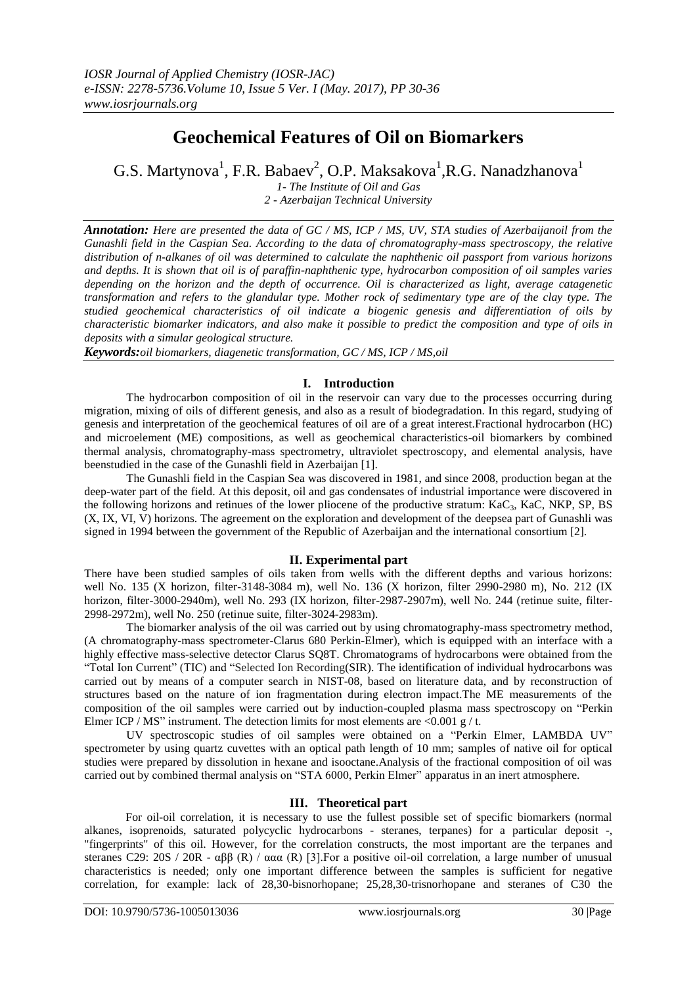# **Geochemical Features of Oil on Biomarkers**

G.S. Martynova $^1$ , F.R. Babaev $^2$ , O.P. Maksakova $^1$ ,R.G. Nanadzhanova $^1$ 

*1- The Institute of Oil and Gas 2 - Azerbaijan Technical University*

*Annotation: Here are presented the data of GC / MS, ICP / MS, UV, STA studies of Azerbaijanoil from the Gunashli field in the Caspian Sea. According to the data of chromatography-mass spectroscopy, the relative distribution of n-alkanes of oil was determined to calculate the naphthenic oil passport from various horizons and depths. It is shown that oil is of paraffin-naphthenic type, hydrocarbon composition of oil samples varies depending on the horizon and the depth of occurrence. Oil is characterized as light, average catagenetic transformation and refers to the glandular type. Mother rock of sedimentary type are of the clay type. The studied geochemical characteristics of oil indicate a biogenic genesis and differentiation of oils by characteristic biomarker indicators, and also make it possible to predict the composition and type of oils in deposits with a simular geological structure.*

*Keywords:oil biomarkers, diagenetic transformation, GC / MS, ICP / MS,oil*

# **I. Introduction**

The hydrocarbon composition of oil in the reservoir can vary due to the processes occurring during migration, mixing of oils of different genesis, and also as a result of biodegradation. In this regard, studying of genesis and interpretation of the geochemical features of oil are of a great interest.Fractional hydrocarbon (HC) and microelement (ME) compositions, as well as geochemical characteristics-oil biomarkers by combined thermal analysis, chromatography-mass spectrometry, ultraviolet spectroscopy, and elemental analysis, have beenstudied in the case of the Gunashli field in Azerbaijan [1].

The Gunashli field in the Caspian Sea was discovered in 1981, and since 2008, production began at the deep-water part of the field. At this deposit, oil and gas condensates of industrial importance were discovered in the following horizons and retinues of the lower pliocene of the productive stratum:  $KaC_3$ ,  $KaC$ ,  $NKP$ ,  $SP$ ,  $BS$ (X, IX, VI, V) horizons. The agreement on the exploration and development of the deepsea part of Gunashli was signed in 1994 between the government of the Republic of Azerbaijan and the international consortium [2].

# **II. Experimental part**

There have been studied samples of oils taken from wells with the different depths and various horizons: well No. 135 (X horizon, filter-3148-3084 m), well No. 136 (X horizon, filter 2990-2980 m), No. 212 (IX horizon, filter-3000-2940m), well No. 293 (IX horizon, filter-2987-2907m), well No. 244 (retinue suite, filter-2998-2972m), well No. 250 (retinue suite, filter-3024-2983m).

The biomarker analysis of the oil was carried out by using chromatography-mass spectrometry method, (A chromatography-mass spectrometer-Clarus 680 Perkin-Elmer), which is equipped with an interface with a highly effective mass-selective detector Clarus SQ8T. Chromatograms of hydrocarbons were obtained from the "Total Ion Current" (TIC) and "Selected Ion Recording(SIR). The identification of individual hydrocarbons was carried out by means of a computer search in NIST-08, based on literature data, and by reconstruction of structures based on the nature of ion fragmentation during electron impact.The ME measurements of the composition of the oil samples were carried out by induction-coupled plasma mass spectroscopy on "Perkin" Elmer ICP / MS" instrument. The detection limits for most elements are <0.001 g / t.

UV spectroscopic studies of oil samples were obtained on a "Perkin Elmer, LAMBDA UV" spectrometer by using quartz cuvettes with an optical path length of 10 mm; samples of native oil for optical studies were prepared by dissolution in hexane and isooctane.Analysis of the fractional composition of oil was carried out by combined thermal analysis on "STA 6000, Perkin Elmer" apparatus in an inert atmosphere.

# **III. Theoretical part**

For oil-oil correlation, it is necessary to use the fullest possible set of specific biomarkers (normal alkanes, isoprenoids, saturated polycyclic hydrocarbons - steranes, terpanes) for a particular deposit -, "fingerprints" of this oil. However, for the correlation constructs, the most important are the terpanes and steranes C29: 20S / 20R -  $\alpha\beta\beta$  (R) /  $\alpha\alpha\alpha$  (R) [3]. For a positive oil-oil correlation, a large number of unusual characteristics is needed; only one important difference between the samples is sufficient for negative correlation, for example: lack of 28,30-bisnorhopane; 25,28,30-trisnorhopane and steranes of C30 the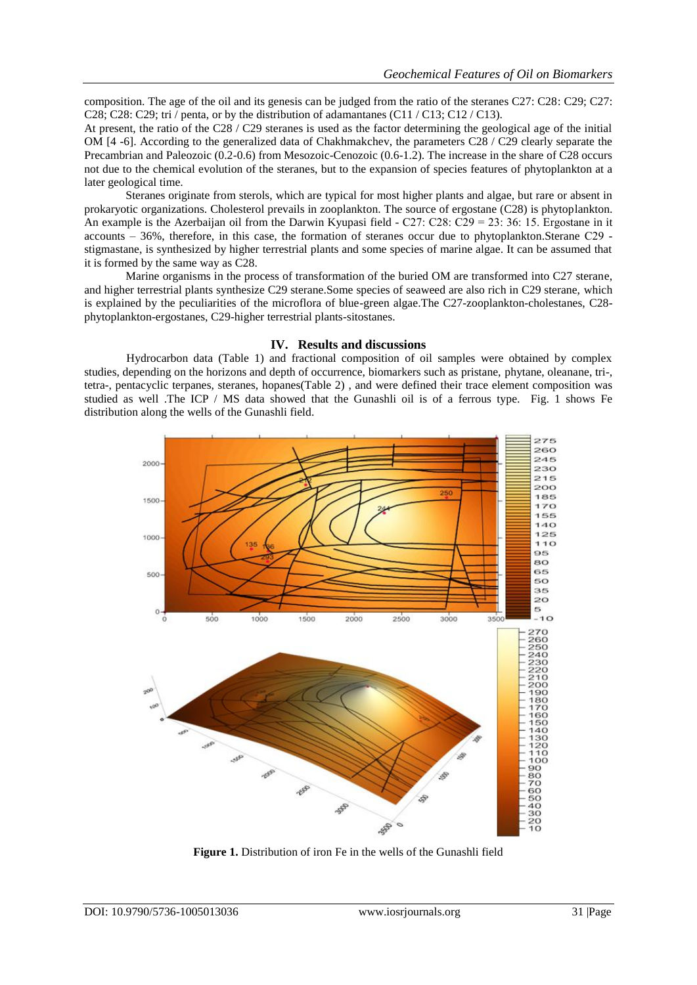composition. The age of the oil and its genesis can be judged from the ratio of the steranes C27: C28: C29; C27: C28; C28; C29; tri / penta, or by the distribution of adamantanes (C11 / C13; C12 / C13).

At present, the ratio of the C28 / C29 steranes is used as the factor determining the geological age of the initial OM [4 -6]. According to the generalized data of Chakhmakchev, the parameters C28 / C29 clearly separate the Precambrian and Paleozoic (0.2-0.6) from Mesozoic-Cenozoic (0.6-1.2). The increase in the share of C28 occurs not due to the chemical evolution of the steranes, but to the expansion of species features of phytoplankton at a later geological time.

Steranes originate from sterols, which are typical for most higher plants and algae, but rare or absent in prokaryotic organizations. Cholesterol prevails in zooplankton. The source of ergostane (C28) is phytoplankton. An example is the Azerbaijan oil from the Darwin Kyupasi field - C27: C28: C29 = 23: 36: 15. Ergostane in it accounts – 36%, therefore, in this case, the formation of steranes occur due to phytoplankton.Sterane С29 stigmastane, is synthesized by higher terrestrial plants and some species of marine algae. It can be assumed that it is formed by the same way as C28.

Marine organisms in the process of transformation of the buried OM are transformed into C27 sterane, and higher terrestrial plants synthesize C29 sterane.Some species of seaweed are also rich in C29 sterane, which is explained by the peculiarities of the microflora of blue-green algae.The C27-zooplankton-cholestanes, C28 phytoplankton-ergostanes, C29-higher terrestrial plants-sitostanes.

### **IV. Results and discussions**

Hydrocarbon data (Table 1) and fractional composition of oil samples were obtained by complex studies, depending on the horizons and depth of occurrence, biomarkers such as pristane, phytane, oleanane, tri-, tetra-, pentacyclic terpanes, steranes, hopanes(Table 2) , and were defined their trace element composition was studied as well .The ICP / MS data showed that the Gunashli oil is of a ferrous type. Fig. 1 shows Fe distribution along the wells of the Gunashli field.



**Figure 1.** Distribution of iron Fe in the wells of the Gunashli field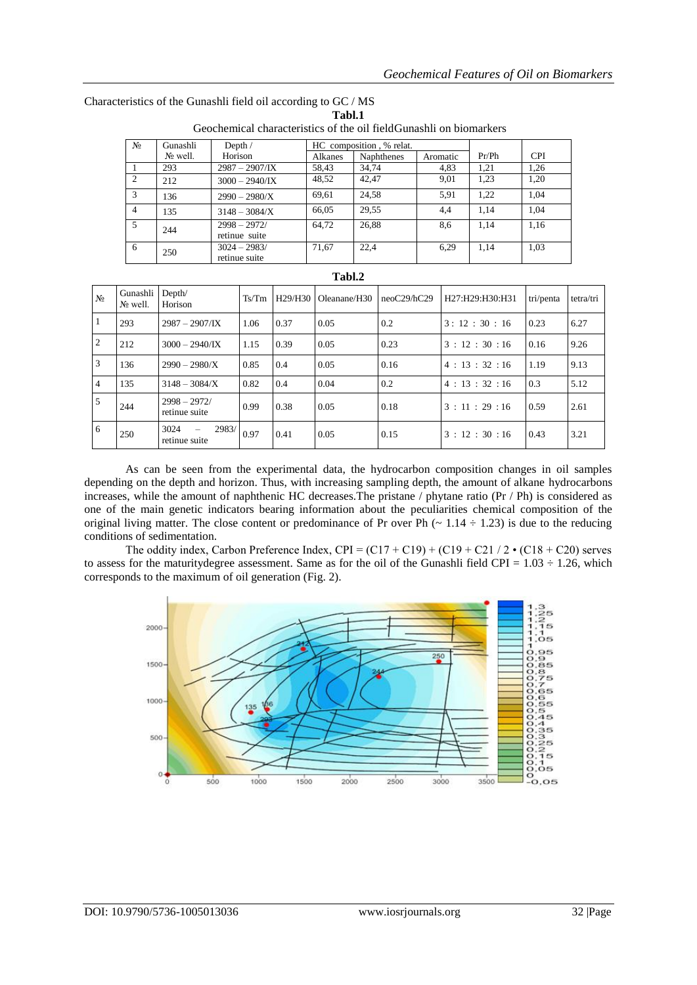|                | ATOVCHCHIICAI CHARACTERICA VI TIC VII HORRITANIII VII MONITARINGIA |                                       |         |                   |          |       |            |  |  |  |  |  |
|----------------|--------------------------------------------------------------------|---------------------------------------|---------|-------------------|----------|-------|------------|--|--|--|--|--|
| $N_2$          | Gunashli                                                           | HC composition, % relat.<br>Depth $/$ |         |                   |          |       |            |  |  |  |  |  |
|                | N∘ well.                                                           | Horison                               | Alkanes | <b>Naphthenes</b> | Aromatic | Pr/Ph | <b>CPI</b> |  |  |  |  |  |
|                | 293                                                                | $2987 - 2907/\mathrm{IX}$             | 58,43   | 34.74             | 4,83     | 1,21  | 1,26       |  |  |  |  |  |
| 2              | 212                                                                | $3000 - 2940$ /IX                     | 48,52   | 42.47             | 9,01     | 1,23  | 1.20       |  |  |  |  |  |
| $\mathcal{R}$  | 136                                                                | $2990 - 2980/X$                       | 69,61   | 24,58             | 5,91     | 1,22  | 1.04       |  |  |  |  |  |
| $\overline{4}$ | 135                                                                | $3148 - 3084/X$                       | 66,05   | 29.55             | 4,4      | 1,14  | 1.04       |  |  |  |  |  |
| 5              | 244                                                                | $2998 - 2972/$<br>retinue suite       | 64.72   | 26,88             | 8,6      | 1,14  | 1,16       |  |  |  |  |  |
| 6              | 250                                                                | $3024 - 2983/$<br>retinue suite       | 71.67   | 22.4              | 6,29     | 1,14  | 1.03       |  |  |  |  |  |

Characteristics of the Gunashli field oil according to GC / MS **Tabl.1** Geochemical characteristics of the oil fieldGunashli on biomarkers

|                | Tabl.2                  |                                 |       |                                  |                          |             |                 |           |           |  |  |  |  |
|----------------|-------------------------|---------------------------------|-------|----------------------------------|--------------------------|-------------|-----------------|-----------|-----------|--|--|--|--|
| N <sub>0</sub> | Gunashli<br>$N_2$ well. | Depth/<br>Horison               | Ts/Tm | H <sub>29</sub> /H <sub>30</sub> | Oleanane/H <sub>30</sub> | neoC29/hC29 | H27:H29:H30:H31 | tri/penta | tetra/tri |  |  |  |  |
| $\mathbf{1}$   | 293                     | $2987 - 2907/\text{IX}$         | 1.06  | 0.37                             | 0.05                     | 0.2         | 3:12:30:16      | 0.23      | 6.27      |  |  |  |  |
| 2              | 212                     | $3000 - 2940$ /IX               | 1.15  | 0.39                             | 0.05                     | 0.23        | 3:12:30:16      | 0.16      | 9.26      |  |  |  |  |
| 3              | 136                     | $2990 - 2980/X$                 | 0.85  | 0.4                              | 0.05                     | 0.16        | 4:13:32:16      | 1.19      | 9.13      |  |  |  |  |
| $\overline{4}$ | 135                     | $3148 - 3084/X$                 | 0.82  | 0.4                              | 0.04                     | 0.2         | 4:13:32:16      | 0.3       | 5.12      |  |  |  |  |
| 5              | 244                     | $2998 - 2972/$<br>retinue suite | 0.99  | 0.38                             | 0.05                     | 0.18        | 3:11:29:16      | 0.59      | 2.61      |  |  |  |  |
| 6              | 250                     | 3024<br>2983/<br>retinue suite  | 0.97  | 0.41                             | 0.05                     | 0.15        | 3:12:30:16      | 0.43      | 3.21      |  |  |  |  |

As can be seen from the experimental data, the hydrocarbon composition changes in oil samples depending on the depth and horizon. Thus, with increasing sampling depth, the amount of alkane hydrocarbons increases, while the amount of naphthenic HC decreases.The pristane / phytane ratio (Pr / Ph) is considered as one of the main genetic indicators bearing information about the peculiarities chemical composition of the original living matter. The close content or predominance of Pr over Ph  $(\sim 1.14 \div 1.23)$  is due to the reducing conditions of sedimentation.

The oddity index, Carbon Preference Index,  $CPI = (C17 + C19) + (C19 + C21 / 2 \cdot (C18 + C20)$  serves to assess for the maturity degree assessment. Same as for the oil of the Gunashli field CPI =  $1.03 \div 1.26$ , which corresponds to the maximum of oil generation (Fig. 2).

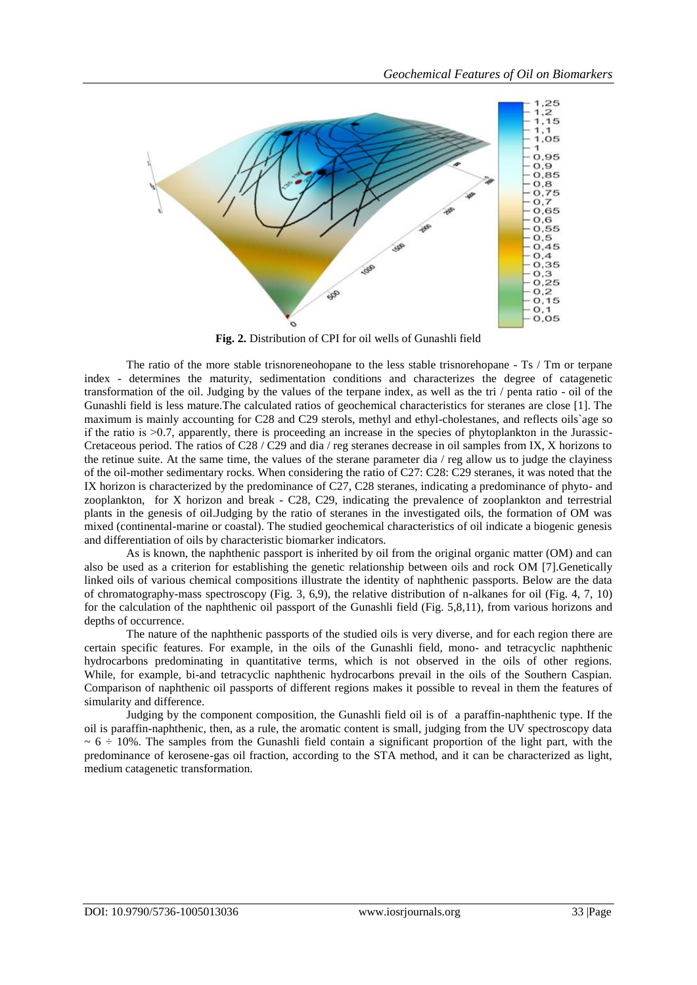

**Fig. 2.** Distribution of CPI for oil wells of Gunashli field

The ratio of the more stable trisnoreneohopane to the less stable trisnorehopane - Ts / Tm or terpane index - determines the maturity, sedimentation conditions and characterizes the degree of catagenetic transformation of the oil. Judging by the values of the terpane index, as well as the tri / penta ratio - oil of the Gunashli field is less mature.The calculated ratios of geochemical characteristics for steranes are close [1]. The maximum is mainly accounting for C28 and C29 sterols, methyl and ethyl-cholestanes, and reflects oils`age so if the ratio is  $>0.7$ , apparently, there is proceeding an increase in the species of phytoplankton in the Jurassic-Cretaceous period. The ratios of C28 / C29 and dia / reg steranes decrease in oil samples from IX, X horizons to the retinue suite. At the same time, the values of the sterane parameter dia / reg allow us to judge the clayiness of the oil-mother sedimentary rocks. When considering the ratio of C27: C28: C29 steranes, it was noted that the IX horizon is characterized by the predominance of C27, C28 steranes, indicating a predominance of phyto- and zooplankton, for X horizon and break - C28, C29, indicating the prevalence of zooplankton and terrestrial plants in the genesis of oil.Judging by the ratio of steranes in the investigated oils, the formation of OM was mixed (continental-marine or coastal). The studied geochemical characteristics of oil indicate a biogenic genesis and differentiation of oils by characteristic biomarker indicators.

As is known, the naphthenic passport is inherited by oil from the original organic matter (OM) and can also be used as a criterion for establishing the genetic relationship between oils and rock OM [7].Genetically linked oils of various chemical compositions illustrate the identity of naphthenic passports. Below are the data of chromatography-mass spectroscopy (Fig. 3, 6,9), the relative distribution of n-alkanes for oil (Fig. 4, 7, 10) for the calculation of the naphthenic oil passport of the Gunashli field (Fig. 5,8,11), from various horizons and depths of occurrence.

The nature of the naphthenic passports of the studied oils is very diverse, and for each region there are certain specific features. For example, in the oils of the Gunashli field, mono- and tetracyclic naphthenic hydrocarbons predominating in quantitative terms, which is not observed in the oils of other regions. While, for example, bi-and tetracyclic naphthenic hydrocarbons prevail in the oils of the Southern Caspian. Comparison of naphthenic oil passports of different regions makes it possible to reveal in them the features of simularity and difference.

Judging by the component composition, the Gunashli field oil is of a paraffin-naphthenic type. If the oil is paraffin-naphthenic, then, as a rule, the aromatic content is small, judging from the UV spectroscopy data  $\sim 6 \div 10\%$ . The samples from the Gunashli field contain a significant proportion of the light part, with the predominance of kerosene-gas oil fraction, according to the STA method, and it can be characterized as light, medium catagenetic transformation.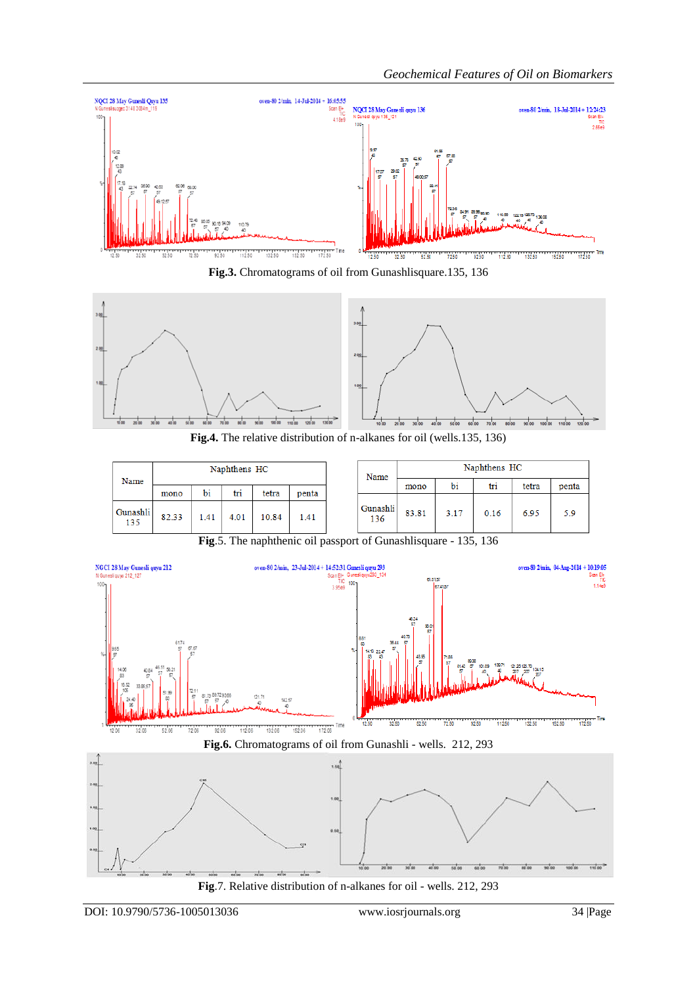

**Fig.3.** Chromatograms of oil from Gunashlisquare.135, 136



**Fig.4.** The relative distribution of n-alkanes for oil (wells.135, 136)

| Name            |       |     | Naphthens HC |       |       |                 | Naphthens HC<br>Name |      |      |       |       |  |  |
|-----------------|-------|-----|--------------|-------|-------|-----------------|----------------------|------|------|-------|-------|--|--|
|                 | mono  | bi  | tri          | tetra | penta |                 | mono                 | bi   | tri  | tetra | penta |  |  |
| Gunashli<br>135 | 82.33 | .41 | 4.01         | 10.84 | 1.41  | Gunashli<br>136 | 83.81                | 3.17 | 0.16 | 6.95  | 5.9   |  |  |

**Fig**.5. The naphthenic oil passport of Gunashlisquare - 135, 136



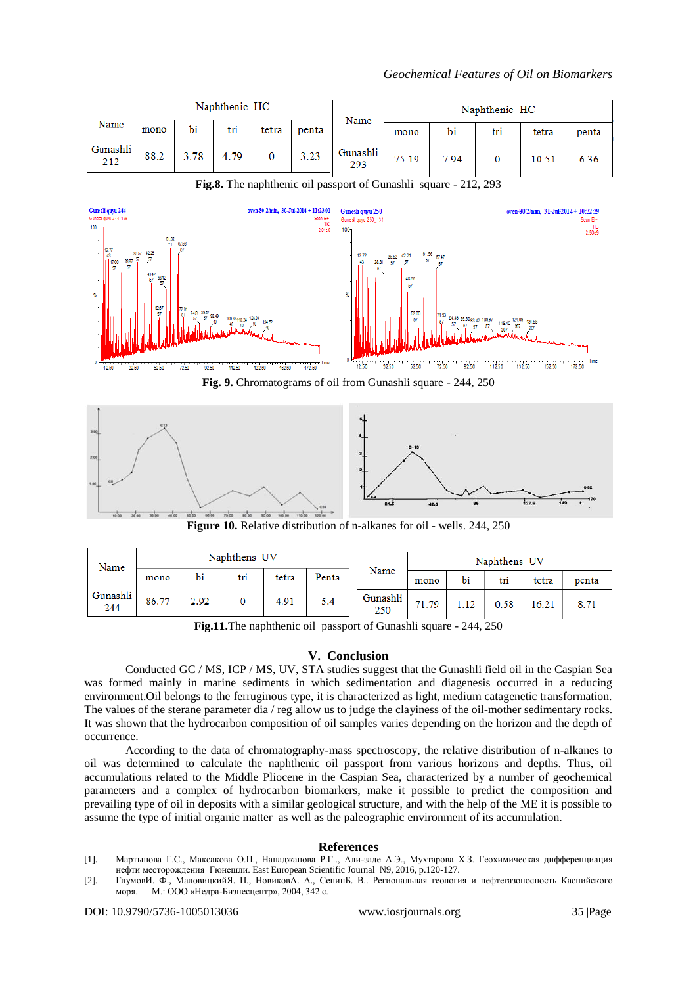|                 |      |      | Naphthenic HC |       |       | Naphthenic HC<br>Name |       |      |     |       |       |
|-----------------|------|------|---------------|-------|-------|-----------------------|-------|------|-----|-------|-------|
| Name            | mono | bi   | tri           | tetra | penta |                       | mono  | bi   | tri | tetra | penta |
| Gunashli<br>212 | 88.2 | 3.78 | 4.79          | 0     | 3.23  | Gunashli<br>293       | 75.19 | 7.94 |     | 10.51 | 6.36  |



**Fig.8.** The naphthenic oil passport of Gunashli square - 212, 293

**Fig. 9.** Chromatograms of oil from Gunashli square - 244, 250



**Figure 10.** Relative distribution of n-alkanes for oil - wells. 244, 250

| Name            | Naphthens UV |      |     |       |       |                 | Naphthens UV |      |      |       |       |  |
|-----------------|--------------|------|-----|-------|-------|-----------------|--------------|------|------|-------|-------|--|
|                 | mono         | bi   | tri | tetra | Penta | Name            | mono         | bi   | tri  | tetra | penta |  |
| Gunashli<br>244 | 86.77        | 2.92 |     | 4.91  | 5.4   | Gunashli<br>250 | 71.79        | 1.12 | 0.58 | 16.21 |       |  |

**Fig.11.**The naphthenic oil passport of Gunashli square - 244, 250

# **V. Conclusion**

Conducted GC / MS, ICP / MS, UV, STA studies suggest that the Gunashli field oil in the Caspian Sea was formed mainly in marine sediments in which sedimentation and diagenesis occurred in a reducing environment.Oil belongs to the ferruginous type, it is characterized as light, medium catagenetic transformation. The values of the sterane parameter dia / reg allow us to judge the clayiness of the oil-mother sedimentary rocks. It was shown that the hydrocarbon composition of oil samples varies depending on the horizon and the depth of occurrence.

According to the data of chromatography-mass spectroscopy, the relative distribution of n-alkanes to oil was determined to calculate the naphthenic oil passport from various horizons and depths. Thus, oil accumulations related to the Middle Pliocene in the Caspian Sea, characterized by a number of geochemical parameters and a complex of hydrocarbon biomarkers, make it possible to predict the composition and prevailing type of oil in deposits with a similar geological structure, and with the help of the ME it is possible to assume the type of initial organic matter as well as the paleographic environment of its accumulation.

### **References**

- [1]. Мартынова Г.С., Максакова О.П., Нанаджанова Р.Г.., Али-заде А.Э., Мухтарова Х.З. Геохимическая дифференциация нефти месторождения Гюнешли. East European Scientific Journal N9, 2016, p.120-127.
- [2]. ГлумовИ. Ф., МаловицкийЯ. П., НовиковА. А., СенинБ. В.. Региональная геология и нефтегазоносность Каспийского моря. — М.: ООО «Недра-Бизнесцентр», 2004, 342 с.